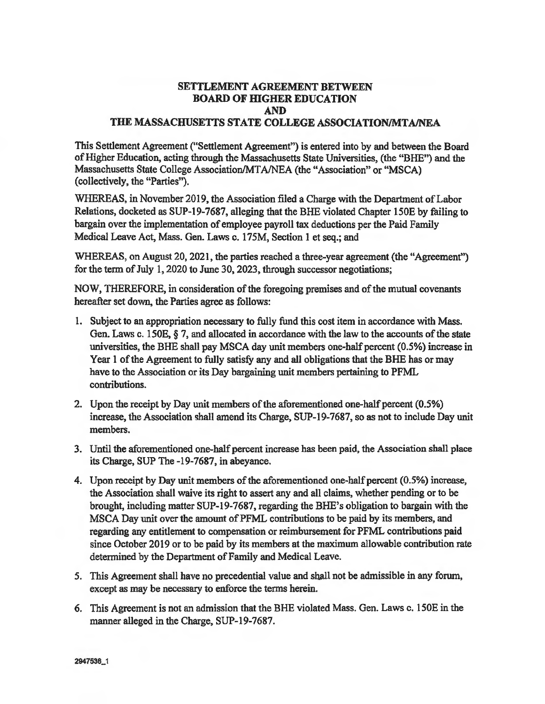## SETTLEMENT AGREEMENT BETWEEN BOARD OF HIGHER EDUCATION AND THE MASSACHUSETTS STATE COLLEGE ASSOCIATION/MTA/NEA

This Settlement Agreement ("Settlement Agreement") is entered into by and between the Board of Higher Education, acting through the Massachusetts State Universities, (the "BHE") and the Massachusetts State College Association/MTAJNEA (the "Association" or "MSCA) (collectively, the "Parties").

WHEREAS, in November 2019, the Association filed a Charge with the Department of Labor Relations, docketed as SUP-19-7687, alleging that the BHE violated Chapter 150E by failing to bargain over the implementation of employee payroll tax deductions per the Paid Family Medical Leave Act, Mass. Gen. Laws c. 175M, Section 1 et seq.; and

WHEREAS, on August 20, 2021, the parties reached a three-year agreement (the "Agreement") for the term of July 1, 2020 to June 30, 2023, through successor negotiations;

NOW, THEREFORE, in consideration of the foregoing premises and of the mutual covenants hereafter set down, the Parties agree as follows:

- 1. Subject to an appropriation necessary to fully fund this cost item in accordance with Mass. Gen. Laws c. 150E, § 7, and allocated in accordance with the law to the accounts of the state universities, the BHE shall pay MSCA day unit members one-half percent (0.5%) increase in Year 1 of the Agreement to fully satisfy any and all obligations that the BHE has or may have to the Association or its Day bargaining unit members pertaining to PFML contributions.
- 2. Upon the receipt by Day unit members of the aforementioned one-half percent (0.5%) increase, the Association shall amend its Charge, SUP-19-7687, so as not to include Day unit members.
- 3. Until the aforementioned one-half percent increase has been paid, the Association shall place its Charge, SUP The -19-7687, in abeyance.
- 4. Upon receipt by Day unit members of the aforementioned one-half percent (0.5%) increase, the Association shall waive its right to assert any and all claims, whether pending or to be brought, including matter SUP-19-7687, regarding the BHE's obligation to bargain with the MSCA Day unit over the amount of PFML contributions to be paid by its members, and regarding any entitlement to compensation or reimbursement for PFML contributions paid since October 2019 or to be paid by its members at the maximum allowable contribution rate determined by the Department of Family and Medical Leave.
- 5. This Agreement shall have no precedential value and shall not be admissible in any forum, except as may be necessary to enforce the terms herein.
- 6. This Agreement is not an admission that the BHE violated Mass. Gen. Laws c. 150E in the manner alleged in the Charge, SUP-19-7687.